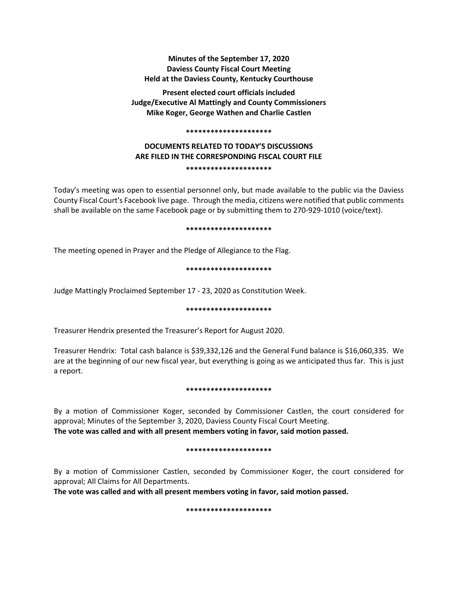**Minutes of the September 17, 2020 Daviess County Fiscal Court Meeting Held at the Daviess County, Kentucky Courthouse**

**Present elected court officials included Judge/Executive Al Mattingly and County Commissioners Mike Koger, George Wathen and Charlie Castlen**

#### **\*\*\*\*\*\*\*\*\*\*\*\*\*\*\*\*\*\*\*\*\***

# **DOCUMENTS RELATED TO TODAY'S DISCUSSIONS ARE FILED IN THE CORRESPONDING FISCAL COURT FILE \*\*\*\*\*\*\*\*\*\*\*\*\*\*\*\*\*\*\*\*\***

Today's meeting was open to essential personnel only, but made available to the public via the Daviess County Fiscal Court's Facebook live page. Through the media, citizens were notified that public comments shall be available on the same Facebook page or by submitting them to 270-929-1010 (voice/text).

#### **\*\*\*\*\*\*\*\*\*\*\*\*\*\*\*\*\*\*\*\*\***

The meeting opened in Prayer and the Pledge of Allegiance to the Flag.

#### **\*\*\*\*\*\*\*\*\*\*\*\*\*\*\*\*\*\*\*\*\***

Judge Mattingly Proclaimed September 17 - 23, 2020 as Constitution Week.

#### **\*\*\*\*\*\*\*\*\*\*\*\*\*\*\*\*\*\*\*\*\***

Treasurer Hendrix presented the Treasurer's Report for August 2020.

Treasurer Hendrix: Total cash balance is \$39,332,126 and the General Fund balance is \$16,060,335. We are at the beginning of our new fiscal year, but everything is going as we anticipated thus far. This is just a report.

#### **\*\*\*\*\*\*\*\*\*\*\*\*\*\*\*\*\*\*\*\*\***

By a motion of Commissioner Koger, seconded by Commissioner Castlen, the court considered for approval; Minutes of the September 3, 2020, Daviess County Fiscal Court Meeting. **The vote was called and with all present members voting in favor, said motion passed.** 

#### **\*\*\*\*\*\*\*\*\*\*\*\*\*\*\*\*\*\*\*\*\***

By a motion of Commissioner Castlen, seconded by Commissioner Koger, the court considered for approval; All Claims for All Departments.

**The vote was called and with all present members voting in favor, said motion passed.** 

**\*\*\*\*\*\*\*\*\*\*\*\*\*\*\*\*\*\*\*\*\***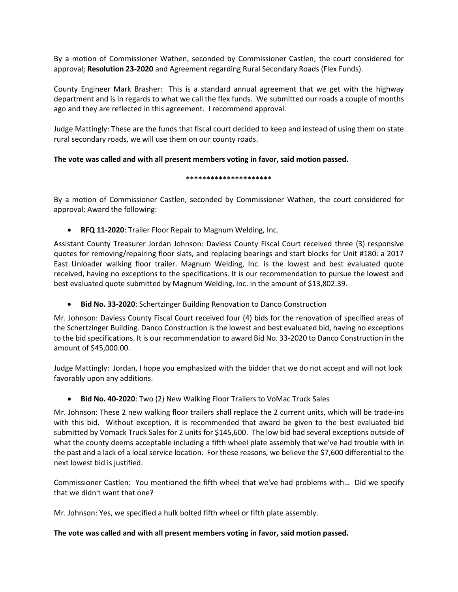By a motion of Commissioner Wathen, seconded by Commissioner Castlen, the court considered for approval; **Resolution 23-2020** and Agreement regarding Rural Secondary Roads (Flex Funds).

County Engineer Mark Brasher: This is a standard annual agreement that we get with the highway department and is in regards to what we call the flex funds. We submitted our roads a couple of months ago and they are reflected in this agreement. I recommend approval.

Judge Mattingly: These are the funds that fiscal court decided to keep and instead of using them on state rural secondary roads, we will use them on our county roads.

## **The vote was called and with all present members voting in favor, said motion passed.**

#### **\*\*\*\*\*\*\*\*\*\*\*\*\*\*\*\*\*\*\*\*\***

By a motion of Commissioner Castlen, seconded by Commissioner Wathen, the court considered for approval; Award the following:

**RFQ 11-2020**: Trailer Floor Repair to Magnum Welding, Inc.

Assistant County Treasurer Jordan Johnson: Daviess County Fiscal Court received three (3) responsive quotes for removing/repairing floor slats, and replacing bearings and start blocks for Unit #180: a 2017 East Unloader walking floor trailer. Magnum Welding, Inc. is the lowest and best evaluated quote received, having no exceptions to the specifications. It is our recommendation to pursue the lowest and best evaluated quote submitted by Magnum Welding, Inc. in the amount of \$13,802.39.

**Bid No. 33-2020**: Schertzinger Building Renovation to Danco Construction

Mr. Johnson: Daviess County Fiscal Court received four (4) bids for the renovation of specified areas of the Schertzinger Building. Danco Construction is the lowest and best evaluated bid, having no exceptions to the bid specifications. It is our recommendation to award Bid No. 33-2020 to Danco Construction in the amount of \$45,000.00.

Judge Mattingly: Jordan, I hope you emphasized with the bidder that we do not accept and will not look favorably upon any additions.

# **Bid No. 40-2020**: Two (2) New Walking Floor Trailers to VoMac Truck Sales

Mr. Johnson: These 2 new walking floor trailers shall replace the 2 current units, which will be trade-ins with this bid. Without exception, it is recommended that award be given to the best evaluated bid submitted by Vomack Truck Sales for 2 units for \$145,600. The low bid had several exceptions outside of what the county deems acceptable including a fifth wheel plate assembly that we've had trouble with in the past and a lack of a local service location. For these reasons, we believe the \$7,600 differential to the next lowest bid is justified.

Commissioner Castlen: You mentioned the fifth wheel that we've had problems with… Did we specify that we didn't want that one?

Mr. Johnson: Yes, we specified a hulk bolted fifth wheel or fifth plate assembly.

## **The vote was called and with all present members voting in favor, said motion passed.**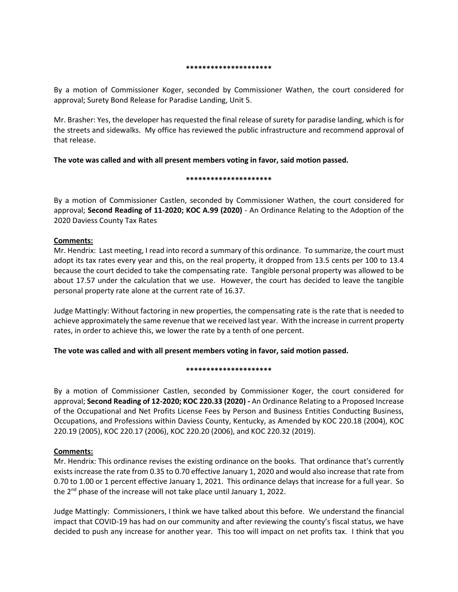#### **\*\*\*\*\*\*\*\*\*\*\*\*\*\*\*\*\*\*\*\*\***

By a motion of Commissioner Koger, seconded by Commissioner Wathen, the court considered for approval; Surety Bond Release for Paradise Landing, Unit 5.

Mr. Brasher: Yes, the developer has requested the final release of surety for paradise landing, which is for the streets and sidewalks. My office has reviewed the public infrastructure and recommend approval of that release.

## **The vote was called and with all present members voting in favor, said motion passed.**

#### **\*\*\*\*\*\*\*\*\*\*\*\*\*\*\*\*\*\*\*\*\***

By a motion of Commissioner Castlen, seconded by Commissioner Wathen, the court considered for approval; **Second Reading of 11-2020; KOC A.99 (2020)** - An Ordinance Relating to the Adoption of the 2020 Daviess County Tax Rates

# **Comments:**

Mr. Hendrix: Last meeting, I read into record a summary of this ordinance. To summarize, the court must adopt its tax rates every year and this, on the real property, it dropped from 13.5 cents per 100 to 13.4 because the court decided to take the compensating rate. Tangible personal property was allowed to be about 17.57 under the calculation that we use. However, the court has decided to leave the tangible personal property rate alone at the current rate of 16.37.

Judge Mattingly: Without factoring in new properties, the compensating rate is the rate that is needed to achieve approximately the same revenue that we received last year. With the increase in current property rates, in order to achieve this, we lower the rate by a tenth of one percent.

**The vote was called and with all present members voting in favor, said motion passed.**

## **\*\*\*\*\*\*\*\*\*\*\*\*\*\*\*\*\*\*\*\*\***

By a motion of Commissioner Castlen, seconded by Commissioner Koger, the court considered for approval; **Second Reading of 12-2020; KOC 220.33 (2020) -** An Ordinance Relating to a Proposed Increase of the Occupational and Net Profits License Fees by Person and Business Entities Conducting Business, Occupations, and Professions within Daviess County, Kentucky, as Amended by KOC 220.18 (2004), KOC 220.19 (2005), KOC 220.17 (2006), KOC 220.20 (2006), and KOC 220.32 (2019).

## **Comments:**

Mr. Hendrix: This ordinance revises the existing ordinance on the books. That ordinance that's currently exists increase the rate from 0.35 to 0.70 effective January 1, 2020 and would also increase that rate from 0.70 to 1.00 or 1 percent effective January 1, 2021. This ordinance delays that increase for a full year. So the 2<sup>nd</sup> phase of the increase will not take place until January 1, 2022.

Judge Mattingly: Commissioners, I think we have talked about this before. We understand the financial impact that COVID-19 has had on our community and after reviewing the county's fiscal status, we have decided to push any increase for another year. This too will impact on net profits tax. I think that you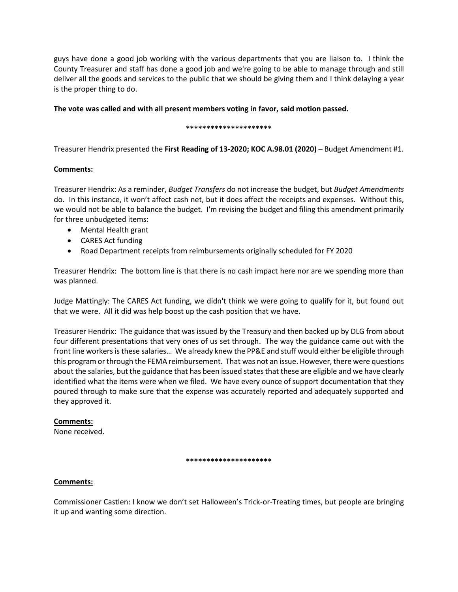guys have done a good job working with the various departments that you are liaison to. I think the County Treasurer and staff has done a good job and we're going to be able to manage through and still deliver all the goods and services to the public that we should be giving them and I think delaying a year is the proper thing to do.

**The vote was called and with all present members voting in favor, said motion passed.**

### **\*\*\*\*\*\*\*\*\*\*\*\*\*\*\*\*\*\*\*\*\***

Treasurer Hendrix presented the **First Reading of 13-2020; KOC A.98.01 (2020)** – Budget Amendment #1.

## **Comments:**

Treasurer Hendrix: As a reminder, *Budget Transfers* do not increase the budget, but *Budget Amendments* do. In this instance, it won't affect cash net, but it does affect the receipts and expenses. Without this, we would not be able to balance the budget. I'm revising the budget and filing this amendment primarily for three unbudgeted items:

- Mental Health grant
- CARES Act funding
- Road Department receipts from reimbursements originally scheduled for FY 2020

Treasurer Hendrix: The bottom line is that there is no cash impact here nor are we spending more than was planned.

Judge Mattingly: The CARES Act funding, we didn't think we were going to qualify for it, but found out that we were. All it did was help boost up the cash position that we have.

Treasurer Hendrix: The guidance that was issued by the Treasury and then backed up by DLG from about four different presentations that very ones of us set through. The way the guidance came out with the front line workers is these salaries… We already knew the PP&E and stuff would either be eligible through this program or through the FEMA reimbursement. That was not an issue. However, there were questions about the salaries, but the guidance that has been issued states that these are eligible and we have clearly identified what the items were when we filed. We have every ounce of support documentation that they poured through to make sure that the expense was accurately reported and adequately supported and they approved it.

## **Comments:**

None received.

#### **\*\*\*\*\*\*\*\*\*\*\*\*\*\*\*\*\*\*\*\*\***

## **Comments:**

Commissioner Castlen: I know we don't set Halloween's Trick-or-Treating times, but people are bringing it up and wanting some direction.